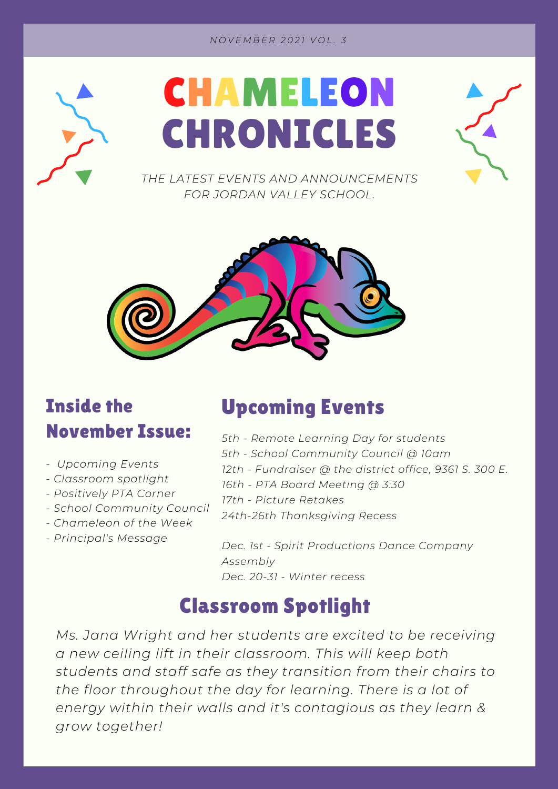#### *N O V E M B E R 2 0 2 1 V O L . 3*





*THE LATEST EVENTS AND ANNOUNCEMENTS FOR JORDAN VALLEY SCHOOL.*



### Inside the November Issue:

- *- Upcoming Events*
- *- Classroom spotlight*
- *- Positively PTA Corner*
- *- School Community Council*
- *- Chameleon of the Week*
- *- Principal's Message*

#### Upcoming Events

- *5th - Remote Learning Day for students*
- *5th - School Community Council @ 10am*
- *12th - Fundraiser @ the district office, 9361 S. 300 E.*
- *16th - PTA Board Meeting @ 3:30*
- *17th - Picture Retakes*
- *24th-26th Thanksgiving Recess*

*Dec. 1st - Spirit Productions Dance Company Assembly Dec. 20-31 - Winter recess*

## Classroom Spotlight

*Ms. Jana Wright and her students are excited to be receiving a new ceiling lift in their classroom. This will keep both students and staff safe as they transition from their chairs to the floor throughout the day for learning. There is a lot of energy within their walls and it's contagious as they learn & grow together!*